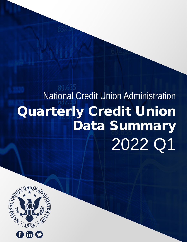# 89.635 National Credit Union Administration Quarterly Credit Union Data Summary 2022 Q1

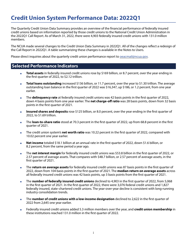### **Credit Union System Performance Data: 2022Q1**

The Quarterly Credit Union Data Summary provides an overview of the financial performance of federally insured credit unions based on information reported by those credit unions to the National Credit Union Administration in the 2022Q1 Call Report. As of March 31, 2022, there were 4,903 federally insured credit unions with 131.0 million members.

The NCUA made several changes to the Credit Union Data Summary in 2022Q1. All of the changes reflect a redesign of the Call Report in 2022Q1. A table summarizing these changes is available in the Notes to Users.

Please direct inquiries about the quarterly credit union performance report to **peacmail@ncua.gov.** 

### **Selected Performance Indicators**

- **Total assets** in federally insured credit unions rose by \$169 billion, or 8.7 percent, over the year ending in the first quarter of 2022, to \$2.12 trillion.
- **Total loans outstanding** increased \$136 billion, or 11.7 percent, over the year to \$1.30 trillion. The average outstanding loan balance in the first quarter of 2022 was \$16,347, up \$186, or 1.2 percent, from one year earlier.
- **The delinquency rate** at federally insured credit unions was 42 basis points in the first quarter of 2022, down 4 basis points from one year earlier. The **net charge-off ratio** was 28 basis points, down from 32 basis points in the first quarter of 2021.
- **Insured shares and deposits** rose \$125 billion, or 8.0 percent, over the year ending in the first quarter of 2022, to \$1.69 trillion.
- The **loan-to-share ratio** stood at 70.3 percent in the first quarter of 2022, up from 68.8 percent in the first quarter of 2021.
- The credit union system's **net worth ratio** was 10.22 percent in the first quarter of 2022, compared with 10.02 percent one year earlier.
- **Net income** totaled \$18.1 billion at an annual rate in the first quarter of 2022, down \$1.6 billion, or 8.2 percent, from the same period a year ago.
- The **net interest margin** for federally insured credit unions was \$53.8 billion in the first quarter of 2022, or 2.57 percent of average assets. That compares with \$48.7 billion, or 2.57 percent of average assets, in the first quarter of 2021.
- The **return on average assets** for federally insured credit unions was 87 basis points in the first quarter of 2022, down from 104 basis points in the first quarter of 2021. The **median return on average assets** across all federally insured credit unions was 42 basis points, up 3 basis points from the first quarter of 2021.
- The **number of federally insured credit unions** declined to 4,903 in the first quarter of 2022, from 5,068 in the first quarter of 2021. In the first quarter of 2022, there were 3,076 federal credit unions and 1,827 federally insured, state-chartered credit unions. The year-over-year decline is consistent with long-running industry consolidation trends.
- The **number of credit unions with a low-income designation** declined to 2,622 in the first quarter of 2022 from 2,645 one year earlier.
- Federally insured credit unions added 5.3 million members over the year, and **credit union membership** in these institutions reached 131.0 million in the first quarter of 2022.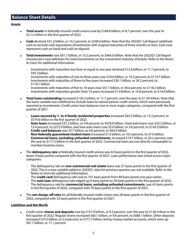### **Balance Sheet Details**

#### **Assets**

- **Total assets** in federally insured credit unions rose by \$168.8 billion, or 8.7 percent, over the year to \$2.12 trillion in the first quarter of 2022.
- **Cash** declined \$41.2 billion, or 14.2 percent, to \$248.6 billion. Note that the 2022Q1 Call Report redefined cash to exclude cash equivalents (investments with original maturities of three months or less). Cash now represents cash on hand and cash on deposit.
- **Total investments** rose \$61.7 billion, or 15.2 percent, to \$466.0 billion. Note that the 2022Q1 Call Report introduced a new definition for total investments on the investment maturity schedule. Refer to the Notes to Users for additional information.
	- Investments with maturities less than or equal to one year declined \$12.6 billion, or 11.7 percent, to \$95.3 billion.
	- Investments with maturities of one to three years rose \$10.6 billion, or 10.2 percent, to \$114.7 billion. • Investments with maturities of three to five years increased \$30.1 billion, or 34.2 percent, to
		- \$118.1 billion.
	- Investments with maturities of five to 10 years rose \$31.7 billion, or 36.6 percent, to \$118.2 billion.
	- Investments with maturities greater than 10 years increased \$1.9 billion, or 10.8 percent, to \$19.8 billion.
- **Total loans outstanding** increased \$136.2 billion, or 11.7 percent, over the year, to \$1.30 trillion. Note that the loans variable was redefined to include loans to natural person credit unions, which were previously reported as investments. Credit union loan balances rose in most major categories, compared with the first quarter of 2021.
	- **Loans secured by 1- to 4-family residential properties** increased \$63.2 billion, or 12.3 percent, to \$574.6 billion in the first quarter of 2022.
	- **Auto loans** increased \$37.2 billion, or 9.8 percent, to \$418.0 billion. Used auto loans rose \$32.2 billion, or 13.4 percent, to \$272.9 billion, and new auto loans rose \$5.0 billion, or 3.6 percent, to \$145.0 billion.
	- **Credit card balances** rose \$5.7 billion, or 9.8 percent, to \$64.4 billion.
	- **Non-federally guaranteed student loans** increased \$1.0 billion, or 16.3 percent, to \$7.0 billion.
	- **Commercial loans, excluding unfunded commitments**, increased \$19.7 billion, or 20.2 percent, over the year to \$117.2 billion in the first quarter of 2022. Commercial loans are not directly comparable to member business loans.
- The **delinguency rate** at federally insured credit unions was 42 basis points in the first quarter of 2022, down 4 basis points compared with the first quarter of 2021. Loan performance was mixed across major categories:
	- The delinquency rate on **non-commercial real estate** loans was 31 basis points in the first quarter of 2022. This is a new variable added in 2022Q1; data for previous quarters are not available. Refer to the Notes to Users for additional information.
	- The **credit card** delinquency rate rose to 101 basis points from 89 basis points one year earlier.
	- The **auto loan** delinquency rate edged up 4 basis points to 39 basis points in the first quarter of 2022.
	- The delinquency rate for **commercial loans, excluding unfunded commitments**, was 43 basis points in the first quarter of 2022, compared with 70 basis points in the first quarter of 2021.
	- The net charge-off ratio for all federally insured credit unions was 28 basis points in the first quarter of 2022, compared with 32 basis points in the first quarter of 2021.

#### **Liabilities and Net Worth**

■ Credit union **shares and deposits** rose by \$157.9 billion, or 9.3 percent, over the year to \$1.85 trillion in the first quarter of 2022. Regular shares increased \$60.1 billion, or 9.6 percent, to \$686.1 billion. Other deposits increased \$37.0 billion, or 5.0 percent, to \$777.7 billion, led by money market accounts, which were up \$61.7 billion, or 17.1 percent.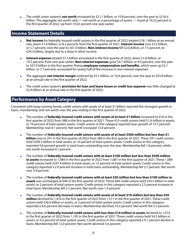The credit union system's **net worth** increased by \$21.1 billion, or 10.8 percent, over the year to \$216.4 billion. The aggregate net worth ratio — net worth as a percentage of assets — stood at 10.22 percent in the first quarter of 2022, up from 10.02 percent one year earlier.

### **Income Statement Details**

- **Net income** for federally insured credit unions in the first quarter of 2022 totaled \$18.1 billion at an annual rate, down \$1.6 billion, or 8.2 percent, from the first quarter of 2021. **Interest income** rose \$3.3 billion, or 5.7 percent, over the year to \$61.0 billion. **Non-interest income** fell \$2.0 billion, or 7.5 percent, to \$24.3 billion, largely due to a drop in other income.
- **Interest expense** totaled \$7.3 billion annualized in the first quarter of 2022, down \$1.8 billion, or 19.5 percent, from one year earlier. **Non-interest expenses** grew \$4.7 billion, or 9.0 percent, over the year to \$57.0 billion in the first quarter. Rising **employee compensation and benefits**, which were up \$2.1 billion, or 7.7 percent, accounted for nearly half of the increase in non-interest expenses.
- The aggregate **net interest margin** widened by \$5.1 billion, or 10.4 percent, over the year to \$53.8 billion at an annual rate in the first quarter of 2022.
- The credit union system's **provision for loan and lease losses or credit loss expense** was little changed at \$2.9 billion at an annual rate in the first quarter of 2022.

### **Performance by Asset Category**

Consistent with long-running trends, credit unions with assets of at least \$1 billion reported the strongest growth in loans, membership, and net worth over the year ending in the first quarter of 2022.

- The number of **federally insured credit unions with assets of at least \$1 billion** increased to 410 in the first quarter of 2022 from 388 in the first quarter of 2021. These 410 credit unions held \$1.6 trillion in assets, or 74 percent of total system assets. Credit unions in this category reported loan growth of 14.7 percent. Membership rose 8.1 percent. Net worth increased 13.9 percent.
- The number of **federally insured credit unions with assets of at least \$500 million but less than \$1 billion** rose to 291 in the first quarter of 2022 from 289 in the first quarter of 2021. These 291 credit unions held \$209.2 billion in total assets, or 10 percent of total system assets. Credit unions in this category reported 4.8 percent growth in total loans outstanding over the year. Membership fell 1.8 percent, while net worth increased 4.1 percent.
- The number of **federally insured credit unions with at least \$100 million but less than \$500 million in assets** increased to 1,084 in the first quarter of 2022 from 1,081 in the first quarter of 2021. These 1,084 credit unions held \$247.9 billion in total assets, or 12 percent of total system assets. Credit unions in this category reported a 2.9 percent increase in total loans outstanding. Membership fell 3.7 percent. Net worth rose 3.9 percent.
- The number of **federally insured credit unions with at least \$50 million but less than \$100 million in assets** was unchanged at 694 in the first quarter of 2022. These 694 credit unions held \$50.5 billion in total assets, or 2 percent of total system assets. Credit unions in this category reported a 2.5 percent increase in total loans. Membership fell 3.7 percent. Net worth rose 1.9 percent.
- The number of **federally insured credit unions with assets of at least \$10 million but less than \$50 million** declined to 1,410 in the first quarter of 2022 from 1,511 in the first quarter of 2021. These credit unions held \$36.6 billion in assets, or 2 percent of total system assets. Credit unions in this category reported a 6.6 percent decrease in loans. Membership declined 10.3 percent. Net worth fell 5.5 percent.
- The number of **federally insured credit unions with less than \$10 million in assets** declined to 1,014 in the first quarter of 2022 from 1,105 in the first quarter of 2021. These credit unions held \$4.3 billion in assets, or 0.2 percent of total system assets. Credit unions in this category reported a 9.1 percent decline in loans. Membership fell 12.0 percent. Net worth declined 5.6 percent.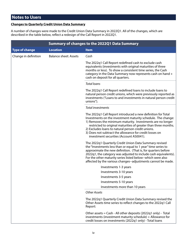### **Notes to Users**

### **Changes to Quarterly Credit Union Data Summary**

A number of changes were made to the Credit Union Data Summary in 2022Q1. All of the changes, which are described in the table below, reflect a redesign of the Call Report in 2022Q1.

|                       |                              | <b>Summary of changes to the 2022Q1 Data Summary</b>                                                                                                                                                                                                                                                                                                                                                                      |
|-----------------------|------------------------------|---------------------------------------------------------------------------------------------------------------------------------------------------------------------------------------------------------------------------------------------------------------------------------------------------------------------------------------------------------------------------------------------------------------------------|
| <b>Type of change</b> | <b>Location</b>              | <b>Item</b>                                                                                                                                                                                                                                                                                                                                                                                                               |
| Change in definition  | <b>Balance sheet: Assets</b> | Cash                                                                                                                                                                                                                                                                                                                                                                                                                      |
|                       |                              | The 2022q1 Call Report redefined cash to exclude cash<br>equivalents (investments with original maturities of three<br>months or less). To show a consistent time series, the Cash<br>category in the Data Summary now represents cash on hand +<br>cash on deposit for all quarters.                                                                                                                                     |
|                       |                              | <b>Total loans</b>                                                                                                                                                                                                                                                                                                                                                                                                        |
|                       |                              | The 2022q1 Call Report redefined loans to include loans to<br>natural person credit unions, which were previously reported as<br>investments ("Loans to and investments in natural person credit<br>unions").                                                                                                                                                                                                             |
|                       |                              | <b>Total investments</b>                                                                                                                                                                                                                                                                                                                                                                                                  |
|                       |                              | The 2022q1 Call Report introduced a new definition for Total<br>Investments on the investment maturity schedule. The change:<br>1) Removes the minimum maturity. Investments are no longer<br>restricted to original maturities of greater than three months.<br>2) Excludes loans to natural person credit unions.<br>3) Does not subtract the allowance for credit losses on<br>investment securities (Account AS0041). |
|                       |                              | The 2022q1 Quarterly Credit Union Data Summary revised<br>the "Investments less than or equal to 1 year" time series to<br>approximate the new definition. (That is, for quarters before<br>2022q1, the category was adjusted to include cash equivalents).<br>For the other maturity series listed below--which were also<br>affected by the various changes--adjustments cannot be made.                                |
|                       |                              | Investments 1-3 years                                                                                                                                                                                                                                                                                                                                                                                                     |
|                       |                              | Investments 3-10 years                                                                                                                                                                                                                                                                                                                                                                                                    |
|                       |                              | Investments 3-5 years                                                                                                                                                                                                                                                                                                                                                                                                     |
|                       |                              | Investments 5-10 years                                                                                                                                                                                                                                                                                                                                                                                                    |
|                       |                              | Investments more than 10 years                                                                                                                                                                                                                                                                                                                                                                                            |
|                       |                              | <b>Other Assets</b>                                                                                                                                                                                                                                                                                                                                                                                                       |
|                       |                              | The 2022q1 Quarterly Credit Union Data Summary revised the<br>Other Assets time series to reflect changes to the 2022q1 Call<br>Report:                                                                                                                                                                                                                                                                                   |
|                       |                              | Other assets = Cash - All other deposits (2022q1 only) - Total<br>investments (investment maturity schedule) + Allowance for<br>credit losses on investments (2022q1 only) - Total loans                                                                                                                                                                                                                                  |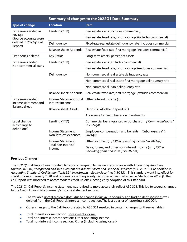|                                            |                                            | <b>Summary of changes to the 2022Q1 Data Summary</b>                                                 |
|--------------------------------------------|--------------------------------------------|------------------------------------------------------------------------------------------------------|
| <b>Type of change</b>                      | <b>Location</b>                            | <b>Item</b>                                                                                          |
| Time series ended in                       | Lending (YTD)                              | Real estate loans (includes commercial)                                                              |
| 2021q4<br>(Source accounts were            |                                            | Real estate, fixed rate, first mortgage (includes commercial)                                        |
| deleted in 2022q1 Call<br>Report)          | Delinquency                                | Fixed-rate real estate delinquency rate (includes commercial)                                        |
|                                            | Balance sheet: Addenda                     | Real estate fixed rate, first mortgage (includes commercial)                                         |
| Time series deleted                        | <b>Key Ratios</b>                          | Long-term assets, percent of assets                                                                  |
| Time series added:                         | Lending (YTD)                              | Real estate loans (excludes commercial)                                                              |
| Non-commercial loans                       |                                            | Real estate, fixed rate, first mortgage (excludes commercial)                                        |
|                                            | Delinquency                                | Non-commercial real estate delinquency rate                                                          |
|                                            |                                            | Non-commercial real estate first mortgage delinguency rate                                           |
|                                            |                                            | Non-commercial loan delinquency rate                                                                 |
|                                            | Balance sheet: Addenda                     | Real estate fixed rate, first mortgage (excludes commercial)                                         |
| Time series added:<br>Income statement and | Income Statement: Total<br>interest income | Other interest income (2)                                                                            |
| <b>Balance sheet</b>                       | <b>Balance sheet: Assets</b>               | Deposits: All other deposits (1)                                                                     |
|                                            |                                            | Allowance for credit losses on investments                                                           |
| Label change<br>(No change to              | Lending (YTD)                              | Commercial loans (granted or purchased) ["Commercial loans"<br>in 2021q4]                            |
| definitions)                               | Income Statement:<br>Non-interest expenses | Employee compensation and benefits ["Labor expense" in<br>2021q4]                                    |
|                                            | Income Statement:                          | Other income (3) ["Other operating income" in 2021q4]                                                |
|                                            | Total non-interest<br>income               | Gains, losses, and other non-interest income (4) ["Other<br>(including gains and losses)" in 2021q4] |

#### **Previous Changes:**

The 2021Q1 Call Report was modified to report changes in fair value in accordance with *Accounting Standards Update 2016-01, Recognition and Measurement of Financial Assets and Financial Liabilities (ASU 2016-01)*, as codified in *Accounting Standards Codification Topic 321, Investments – Equity Securities (ASC 321)*. This standard went into effect for credit unions in January 2020 and requires presenting equity securities at fair market value. Starting in 2019Q1, the Call Report was modified to accommodate credit unions electing early adoption of this standard.

The 2021Q1 Call Report's income statement was revised to more accurately reflect ASC 321. This led to several changes to the Credit Union Data Summary's income statement section:

- **The variable unrealized gain (loss) due to change in fair value of equity and trading debt securities was** deleted from the Call Report's interest income section. The last quarter of reporting is 2020Q4.
- Other changes to the Call Report related to ASC 321 resulted in content changes for three variables:
- Total interest income section: Investment income
- Total non-interest income section: Other operating income
- Total non-interest income section: Other (including gains/losses)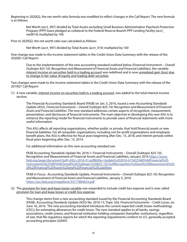Beginning in 2020Q2, the net worth ratio formula was modified to reflect changes in the Call Report. The new formula is as follows:

Net Worth (acct\_997) divided by Total Assets excluding Small Business Administration Paycheck Protection Program (PPP) loans pledged as collateral to the Federal Reserve Board's PPP Lending Facility (acct\_ nw0010) multiplied by 100

Prior to 2020Q2, the net worth ratio was calculated as follows:

Net Worth (acct\_997) divided by Total Assets (acct\_010) multiplied by 100

One change was made to the income statement tables in the Credit Union Data Summary with the release of the 2020Q1 Call Report:

Due to the implementation of the new accounting standard outlined below *(Financial Instruments – Overall (Subtopic 825-10): Recognition and Measurement of Financial Assets and Financial Liabilities)*, the variable interest income on securities held in a trading account was redefined and is now unrealized gain (loss) due to change in fair value of equity and trading debt securities.

Two changes were made to the income statement tables in the Credit Union Data Summary with the release of the 2019Q1 Call Report:

(1) A new variable, interest income on securities held in a trading account, was added to the total interest income section.

The Financial Accounting Standards Board (FASB) on Jan. 5, 2016, issued a new Accounting Standards Update (ASU), *Financial Instruments—Overall (Subtopic 825-10): Recognition and Measurement of Financial Assets and Financial Liabilities*. The new standard addresses certain aspects of recognition, measurement, presentation, and disclosure of financial instruments. The main objective in developing this new ASU is to enhance the reporting model for financial instruments to provide users of financial statements with more useful information.

This ASU affects all reporting organizations, whether public or private, that hold financial assets or owe financial liabilities. For all nonpublic organizations, including not-for-profit organizations and employee benefit plans, the ASU is effective for fiscal years beginning after Dec. 15, 2018, and interim periods within fiscal years beginning after Dec. 15, 2019.

For additional information on this new accounting standard see:

FASB Accounting Standards Update No. 2016-1: Financial Instruments – Overall (Subtopic 825-10), Recognition and Measurement of Financial Assets and Financial Liabilities, January 2016 [https://www.](https://www.fasb.org/page/document?pdf=ASU+2016-01.pdf&title=Update%202016-01%E2%80%94Financial%20In) [fasb.org/page/document?pdf=ASU+2016-01.pdf&title=Update%202016-01%E2%80%94Financial%20](https://www.fasb.org/page/document?pdf=ASU+2016-01.pdf&title=Update%202016-01%E2%80%94Financial%20In) [Instruments%E2%80%94Overall%20\(Subtopic%20825-10\):%20Recognition%20and%20Measurement%20](https://www.fasb.org/page/document?pdf=ASU+2016-01.pdf&title=Update%202016-01%E2%80%94Financial%20In) [of%20Financial%20Assets%20and%20Financial%20Liabilities](https://www.fasb.org/page/document?pdf=ASU+2016-01.pdf&title=Update%202016-01%E2%80%94Financial%20In)

FASB In Focus: Accounting Standards Update, *Financial Instruments—Overall (Subtopic 825-10): Recognition and Measurement of Financial Assets and Financial Liabilities*, January 5, 2016 <https://asc.fasb.org/imageRoot/33/77884633.pdf>

(2) The provision for loan and lease losses variable was expanded to include credit loss expense and is now called provision for loan and lease losses or credit loss expense.

This change stems from a new accounting standard issued by the Financial Accounting Standards Board (FASB), Accounting Standards Update (ASU) No. 2016-13, Topic 326, *Financial Instruments – Credit Losses*, on June 16, 2016. The new accounting standard introduces the current expected credit losses methodology (CECL) for estimating allowances for credit losses. The new standard applies to all banks, savings associations, credit unions, and financial institution holding companies (hereafter, institutions), regardless of size, that file regulatory reports for which the reporting requirements conform to U.S. generally accepted accounting principles (GAAP).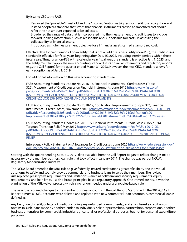By issuing CECL, the FASB:

- Removed the "probable" threshold and the "incurred" notion as triggers for credit loss recognition and instead adopted a standard that states that financial instruments carried at amortized cost should reflect the net amount expected to be collected.
- Broadened the range of data that is incorporated into the measurement of credit losses to include forward-looking information, such as reasonable and supportable forecasts, in assessing the collectability of financial assets.
- Introduced a single measurement objective for all financial assets carried at amortized cost.

Effective date for credit unions: For an entity that is not a Public Business Entity (non-PBE), the credit losses standard is effective for fiscal years beginning after Dec. 15, 2022, including interim periods within those fiscal years. Thus, for a non-PBE with a calendar year fiscal year, the standard is effective Jan. 1, 2023, and the entity must first apply the new accounting standard in its financial statements and regulatory reports (e.g., the Call Report) for the quarter ended March 31, 2023. However, the new CECL standard allows for early adoption as of Jan. 1, 2019.

For additional information on this new accounting standard see:

FASB Accounting Standards Update No. 2016-13, Financial Instruments - Credit Losses (Topic 326): Measurement of Credit Losses on Financial Instruments, June 2016 [https://www.fasb.org/](https://www.fasb.org/page/document?pdf=ASU+2016-13.pdf&title=UPDATE%202016-13%E2%80%94FINANCIAL%20IN) [page/document?pdf=ASU+2016-13.pdf&title=UPDATE%202016-13%E2%80%94FINANCIAL%20](https://www.fasb.org/page/document?pdf=ASU+2016-13.pdf&title=UPDATE%202016-13%E2%80%94FINANCIAL%20IN) [INSTRUMENTS%E2%80%94CREDIT%20LOSSES%20\(TOPIC%20326\):%20MEASUREMENT%20OF%20](https://www.fasb.org/page/document?pdf=ASU+2016-13.pdf&title=UPDATE%202016-13%E2%80%94FINANCIAL%20IN) [CREDIT%20LOSSES%20ON%20FINANCIAL%20INSTRUMENTS](https://www.fasb.org/page/document?pdf=ASU+2016-13.pdf&title=UPDATE%202016-13%E2%80%94FINANCIAL%20IN)

FASB Accounting Standards Update No. 2018-19, Codification Improvements to Topic 326, Financial Instruments – Credit Losses, November 2018 [https://www.fasb.org/page/document?pdf=ASU+2018-19.](https://www.fasb.org/page/document?pdf=ASU+2018-19.pdf&title=Accounting%20Standards%20Update%202018-) [pdf&title=Accounting%20Standards%20Update%202018-19%E2%80%94Codification%20](https://www.fasb.org/page/document?pdf=ASU+2018-19.pdf&title=Accounting%20Standards%20Update%202018-) [Improvements%20to%20Topic%20326,%20Financial%20Instruments%E2%80%94Credit%20Losses](https://www.fasb.org/page/document?pdf=ASU+2018-19.pdf&title=Accounting%20Standards%20Update%202018-)

FASB Accounting Standard Update No. 2019-05, Financial Instruments – Credit Losses (Topic 326): Targeted Transition Relief, May 2019 [https://www.fasb.org/page/document?pdf=ASU+2019-05.](https://www.fasb.org/page/document?pdf=ASU+2019-05.pdf&title=ACCOUNTING%20STANDARDS%20UPDATE%202019-) [pdf&title=ACCOUNTING%20STANDARDS%20UPDATE%202019-05%E2%80%94FINANCIAL%20](https://www.fasb.org/page/document?pdf=ASU+2019-05.pdf&title=ACCOUNTING%20STANDARDS%20UPDATE%202019-) [INSTRUMENTS%E2%80%94CREDIT%20LOSSES%20\(TOPIC%20326\):%20TARGETED%20TRANSITION%20](https://www.fasb.org/page/document?pdf=ASU+2019-05.pdf&title=ACCOUNTING%20STANDARDS%20UPDATE%202019-) [RELIEF](https://www.fasb.org/page/document?pdf=ASU+2019-05.pdf&title=ACCOUNTING%20STANDARDS%20UPDATE%202019-)

Interagency Policy Statement on Allowances for Credit Losses, June 2020 [https://www.federalregister.gov/](https://www.federalregister.gov/documents/2020/06/01/2020-10291/interagency-policy-statement-on-allowances-for-credit-losses) [documents/2020/06/01/2020-10291/interagency-policy-statement-on-allowances-for-credit-losses](https://www.federalregister.gov/documents/2020/06/01/2020-10291/interagency-policy-statement-on-allowances-for-credit-losses)

Starting with the quarter ending Sept. 30, 2017, data available from the Call Report began to reflect changes made necessary by the member business loan rule that took effect in January 2017. The change was part of NCUA's Regulatory Modernization Initiative.

The NCUA Board amended the MBL rule to give federally insured credit unions greater flexibility and individual autonomy to safely and soundly provide commercial and business loans to serve their members. The revised rule replaced prescriptive requirements and limitations—such as collateral and security requirements, equity requirements, and loan limits—with a broad principles-based regulatory approach. One immediate result was the elimination of the MBL waiver process, which is no longer needed under a principles-based rule.

The new rule required changes to the member business accounts in the Call Report. Starting with the 2017Q3 Call Report, almost all MBL accounts were deleted and replaced with new commercial loan accounts. A commercial loan is defined as:

Any loan, line of credit, or letter of credit (including any unfunded commitments), and any interest a credit union obtains in such loans made by another lender, to individuals, sole proprietorships, partnerships, corporations, or other business enterprises for commercial, industrial, agricultural, or professional purposes, but not for personal expenditure purposes.<sup>1</sup>

<sup>1</sup> See NCUA Rules and Regulations 723.2 for a complete definition.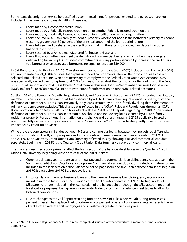Some loans that might otherwise be classified as commercial—not for personal expenditure purposes—are not included in the commercial loans definition. These are:

- Loans made by a corporate credit union;
- Loans made by a federally insured credit union to another federally insured credit union;
- Loans made by a federally insured credit union to a credit union service organization;
- Loans secured by a 1- to 4-family residential property whether or not it is the borrower's primary residence (securing greater than 50 percent of the principal amount of the loan at origination);
- Loans fully secured by shares in the credit union making the extension of credit or deposits in other financial institutions;
- Loans secured by a vehicle manufactured for household use; and
- Loans that would otherwise meet the definition of commercial loan and which, when the aggregate outstanding balances plus unfunded commitments less any portion secured by shares in the credit union to a borrower or an associated borrower, are equal to less than \$50,000.

In Call Reports prior to the Sept. 30, 2017 version, member business loans (acct\_400T) included member (acct\_400A) and non-member (acct 400B) business loans plus unfunded commitments. The Call Report continues to collect selected MBL-related accounts, which are necessary to comply with the Federal Credit Union Act. Account 400A was specifically carried over to capture total MBLs for measuring against the statutory cap. Beginning with the Sept. 30, 2017 Call Report, account 400A is labeled "Total member business loans—Net member business loan balance (NMBLB)."2 (Refer to NCUA 5300 Call Report instructions for information on other MBL-related accounts.)

Section 105 of the Economic Growth, Regulatory Relief, and Consumer Protection Act (S.2155) amended the statutory member business loan limit to exempt all loans secured by a 1- to 4-family dwelling (residential property) from the definition of a member business loan. Previously, only loans secured by a 1- to 4-family dwelling that is the member's primary residence were excluded. This change was reflected in the NCUA's Rules and Regulations through a NCUA Board notation vote on May 30, 2018 and took effect with the 2018Q2 Call Report. Beginning in 2018Q2, the revised definition of a member business loan in account 400A should not include any loans secured by a 1- to 4-family residential property. For additional information on this change and other changes in S.2155 applicable to credit unions see: https://www.ncua.gov/newsroom/Pages/ncua-report/2019/third-quarter/frequently-asked-questionsimpact-s2155-credit-unions.aspx

While there are conceptual similarities between MBLs and commercial loans, because they are defined differently, it is inappropriate to directly compare previous MBL accounts with new commercial loan accounts. In 2017Q3 and 2017Q4, the Quarterly Credit Union Data Summary reflected this by showing MBL and commercial loan data separately. Beginning in 2018Q1, the Quarterly Credit Union Data Summary displays only commercial loans.

The changes described above primarily affect the loan section of the balance sheet tables in the Quarterly Credit Union Data Summary, beginning with the release of the 2017Q3 data:

- **EXECOMMERCIAL LOGATS, SEARCH 2018** Commercial loan delinguency rate appear in the commercial loan delinquency rate appear in the Summary Credit Union Data table on page one. Commercial loans, excluding unfunded commitments, are included in the loan section of the Balance Sheet on pages four and five. Each of these data series begins in 2017Q3; data before 2017Q3 are not available.
- Historical data on member business loans and the member business loan delinquency rate are also included in these tables. For all MBL variables, the final quarter of data is 2017Q2. Starting in 2018Q1, MBLs are no longer included in the loan section of the balance sheet, though the MBL account required for statutory purposes does appear in a separate Addenda item on the balance sheet tables to allow for historical comparisons.
- Due to changes to the Call Report resulting from the new MBL rule, a new variable, long-term assets, percent of assets, has replaced net long-term assets, percent of assets. Long-term assets represents the sum of real estate fixed-rate first mortgages and investments greater than three years.

<sup>2</sup> See NCUA Rules and Regulations, 723.8 for a more complete discussion of what constitutes a member business loan for account 400A.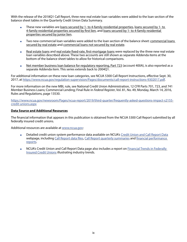With the release of the 2018Q1 Call Report, three new real estate loan variables were added to the loan section of the balance sheet tables in the Quarterly Credit Union Data Summary.

- These new variables are loans secured by 1- to 4-family residential properties, loans secured by 1- to 4-family residential properties secured by first lien, and loans secured by 1- to 4-family residential properties secured by junior lien.
- Two new commercial loan variables were added to the loan section of the balance sheet: commercial loans secured by real estate and commercial loans not secured by real estate.
- Real estate loans and real estate fixed-rate, first-mortgage loans were replaced by the three new real estate loan variables described above. These two accounts are still shown as separate Addenda items at the bottom of the balance sheet tables to allow for historical comparisons.
- Net member business loan balance for regulatory reporting, Part 723 (account 400A), is also reported as a separate Addenda item. This series extends back to 2004Q1.

For additional information on these new loan categories, see NCUA 5300 Call Report Instructions, effective Sept. 30, 2017, at [https://www.ncua.gov/regulation-supervision/Pages/documents/call-report-instructions-9302017.pdf.](https://www.ncua.gov/regulation-supervision/Pages/documents/call-report-instructions-9302017.pdf)

For more information on the new MBL rule, see National Credit Union Administration, 12 CFR Parts 701, 723, and 741 Member Business Loans; Commercial Lending; Final Rule in *Federal Register*, Vol. 81, No. 49, Monday, March 14, 2016, Rules and Regulations, page 13530.

[https://www.ncua.gov/newsroom/Pages/ncua-report/2019/third-quarter/frequently-asked-questions-impact-s2155](https://www.ncua.gov/newsroom/Pages/ncua-report/2018/third-quarter/frequently-asked-questions-impact-s2155-credit-unions.aspx) [credit-unions.aspx](https://www.ncua.gov/newsroom/Pages/ncua-report/2018/third-quarter/frequently-asked-questions-impact-s2155-credit-unions.aspx)

#### **Data Source and Additional Resources**

The financial information that appears in this publication is obtained from the NCUA 5300 Call Report submitted by all federally insured credit unions.

Additional resources are available at [www.ncua.gov:](http://www.ncua.gov)

- Detailed credit union system performance data available on NCUA's [Credit Union and Call Report Data](https://www.ncua.gov/analysis/Pages/call-report-data.aspx) webpage, including [Call Report data files,](https://www.ncua.gov/analysis/Pages/call-report-data/quarterly-data.aspx) [Call Report quarterly summaries](https://www.ncua.gov/analysis/Pages/call-report-data/quarterly-summary.aspx) and financial performance [reports](https://www.ncua.gov/analysis/credit-union-corporate-call-report-data/aggregate-financial-performance-reports).
- **NCUA's Credit Union and Call Report Data page also includes a report on Financial Trends in Federally** [Insured Credit Unions](https://www.ncua.gov/analysis/credit-union-corporate-call-report-data/financial-trends-federally-insured-credit-unions) illustrating industry trends.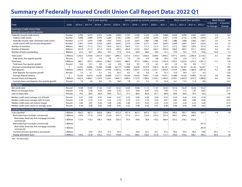|                                                                  |                 |         |         | End of year quarter |         |         |         |         |         | Same quarter as current, previous years |         |         | Most recent four quarters |         |         | <b>Most Recent</b>    |                     |
|------------------------------------------------------------------|-----------------|---------|---------|---------------------|---------|---------|---------|---------|---------|-----------------------------------------|---------|---------|---------------------------|---------|---------|-----------------------|---------------------|
| Date                                                             | <b>Units</b>    | 2016.4  | 2017.4  | 2018.4              | 2019.4  | 2020.4  | 2017.1  | 2018.1  | 2019.1  | 2020.1                                  | 2021.1  | 2021.2  | 2021.3                    | 2021.4  | 2022.1  | 4 Quarter<br>% change | 4 Quarter<br>change |
| <b>Summary Credit Union Data</b>                                 |                 |         |         |                     |         |         |         |         |         |                                         |         |         |                           |         |         |                       |                     |
| Federally insured credit unions                                  |                 |         |         |                     |         |         |         |         |         |                                         |         |         |                           |         |         |                       |                     |
| Federally insured credit unions                                  | Number          | 5,785   | 5,573   | 5,375               | 5,236   | 5,099   | 5,737   | 5,530   | 5,335   | 5,195                                   | 5,068   | 5,029   | 4,990                     | 4,942   | 4,903   | $-3.3$                | $-165$              |
| Federal credit unions                                            | Number          | 3,608   | 3,499   | 3,376               | 3,283   | 3,185   | 3,584   | 3,477   | 3,350   | 3,255                                   | 3,167   | 3,143   | 3,122                     | 3,100   | 3,076   | $-2.9$                | $-91$               |
| Federally insured, state-chartered credit unions                 | Number          | 2,177   | 2,074   | 1,999               | 1,953   | 1,914   | 2,153   | 2,053   | 1,985   | 1,940                                   | 1,901   | 1,886   | 1,868                     | 1,842   | 1,827   | $-3.9$                | $-74$               |
| Credit unions with low-income designation                        | Number          | 2,491   | 2,542   | 2,554               | 2,605   | 2,642   | 2,518   | 2,544   | 2,571   | 2,631                                   | 2,645   | 2,649   | 2,643                     | 2,627   | 2,622   | $-0.9$                | $-23$               |
| Number of members                                                | Millions        | 106.8   | 111.3   | 116.2               | 120.4   | 124.3   | 108.0   | 112.7   | 117.2   | 121.4                                   | 125.7   | 127.2   | 128.6                     | 129.6   | 131.0   | 4.2                   | 5.3                 |
| Number of deposits                                               | <b>Millions</b> | 201.8   | 211.3   | 221.4               | 232.0   | 240.9   | 204.4   | 214.4   | 224.7   | 234.7                                   | 243.9   | 246.5   | 249.5                     | 251.1   | 254.0   | 4.2                   | 10.1                |
| Number of loans outstanding                                      | <b>Millions</b> | 61.0    | 64.7    | 68.2                | 70.7    | 71.9    | 61.0    | 64.6    | 68.0    | 70.3                                    | 72.1    | 73.9    | 75.5                      | 77.9    | 79.6    | 10.4                  | 7.5                 |
| Total assets                                                     | \$ Billions     | 1,292.5 | 1,378.8 | 1,453.4             | ,566.7  | ,844.5  | 1,337.6 | 1,416.3 | 1,506.0 | 1,638.4                                 | ,949.5  | 1,977.2 | 2,018.1                   | 2,060.4 | 2,118.3 | 8.7                   | 169                 |
| Total assets, four quarter growth                                | Percent         | 7.3     | 6.7     | 5.4                 | 7.8     | 17.7    | 7.8     | 5.9     | 6.3     | 8.8                                     | 19.0    | 13.0    | 12.9                      | 11.7    | 8.7     |                       | $-10.3$             |
| <b>Total loans</b>                                               | \$ Billions     | 869.1   | 957.3   | 1.043.6             | 1,108.0 | 1,162.6 | 884.5   | 971.9   | 1,048.2 | 1.116.5                                 | 1,165.4 | 1,193.3 | 1,222.9                   | 1,255.2 | 1,301.7 | 11.7                  | 136                 |
| Total loans, four quarter growth                                 | Percent         | 10.4    | 10.1    | 9.0                 | 6.2     | 4.9     | 10.6    | 9.9     | 7.9     | 6.5                                     | 4.4     | 5.0     | 5.8                       | 8.0     | 11.7    |                       | 7.3                 |
| Average outstanding loan balance                                 | Ś               | 14,242  | 14,806  | 15,298              | 15,668  | 16,179  | 14,498  | 15,036  | 15,419  | 15,875                                  | 16,161  | 16,156  | 16,187                    | 16,120  | 16,347  | 1.2                   | 186                 |
| <b>Total deposits</b>                                            | \$ Billions     | 1,092.6 | 1,159.5 | 1,219.7             | 1,319.8 | 1,587.6 | 1,138.0 | 1,203.5 | 1,272.8 | 1,376.1                                 | 1,693.8 | 1,714.9 | 1,748.6                   | 1,788.6 | 1,851.8 | 9.3                   | 158                 |
| Total deposits, four quarter growth                              | Percent         | 7.5     | 6.1     | 5.2                 | 8.2     | 20.3    | 8.3     | 5.8     | 5.8     | 8.1                                     | 23.1    | 15.0    | 14.4                      | 12.7    | 9.3     |                       | $-13.8$             |
| Average deposit balance                                          | Ŝ.              | 10,230  | 10,418  | 10,500              | 10,966  | 12,771  | 10,539  | 10.678  | 10,857  | 11,339                                  | 13,471  | 13,486  | 13,592                    | 13,803  | 14,133  | 4.9                   | 662                 |
| Insured shares and deposits                                      | \$ Billions     | 1.027.4 | 1,086.5 | 1,139.8             | 1,224.3 | 1,466.7 | 1.069.4 | 1.127.9 | 1,189.4 | 1,278.2                                 | 1,564.0 | 1,578.7 | 1,603.9                   | 1.633.7 | 1.688.8 | 8.0                   | 125                 |
| Insured shares and deposits, four quarter growth                 | Percent         | 7.0     | 5.8     | 4.9                 | 7.4     | 19.8    | 7.8     | 5.5     | 5.5     | 7.5                                     | 22.4    | 14.1    | 13.3                      | 11.4    | 8.0     |                       | $-14.4$             |
| <b>Key Ratios</b>                                                |                 |         |         |                     |         |         |         |         |         |                                         |         |         |                           |         |         |                       |                     |
| Net worth ratio                                                  | Percent         | 10.89   | 10.95   | 11.30               | 11.37   | 10.32   | 10.69   | 10.88   | 11.13   | 11.01                                   | 10.02   | 10.16   | 10.23                     | 10.26   | 10.22   |                       | 0.20                |
| Return on average assets                                         | Percent         | 0.76    | 0.78    | 0.92                | 0.93    | 0.70    | 0.71    | 0.90    | 0.95    | 0.52                                    | 1.04    | 1.12    | 1.12                      | 1.07    | 0.87    |                       | $-0.17$             |
| Loan to share ratio                                              | Percent         | 79.5    | 82.6    | 85.6                | 84.0    | 73.2    | 77.7    | 80.8    | 82.4    | 81.1                                    | 68.8    | 69.6    | 69.9                      | 70.2    | 70.3    |                       | 1.49                |
| Median credit union average cost of funds                        | Percent         | 0.27    | 0.28    | 0.33                | 0.44    | 0.37    | 0.25    | 0.28    | 0.38    | 0.44                                    | 0.25    | 0.24    | 0.24                      | 0.24    | 0.18    |                       | $-0.07$             |
| Median credit union average yield on loans                       | Percent         | 5.30    | 5.19    | 5.16                | 5.25    | 5.10    | 5.19    | 5.14    | 5.18    | 5.25                                    | 4.91    | 4.87    | 4.85                      | 4.84    | 4.66    |                       | $-0.25$             |
| Median credit union net interest margin                          | Percent         | 3.00    | 3.07    | 3.26                | 3.38    | 2.94    | 2.96    | 3.10    | 3.32    | 3.23                                    | 2.53    | 2.52    | 2.54                      | 2.53    | 2.40    |                       | $-0.13$             |
| Median credit union return on average assets                     | Percent         | 0.34    | 0.38    | 0.56                | 0.60    | 0.39    | 0.32    | 0.48    | 0.56    | 0.41                                    | 0.38    | 0.46    | 0.56                      | 0.50    | 0.42    |                       | 0.03                |
| Lending (Year-to-Date, Annual Rate)                              |                 |         |         |                     |         |         |         |         |         |                                         |         |         |                           |         |         |                       |                     |
| Loans granted                                                    | \$ Billions     | 456.2   | 481.2   | 506.8               | 546.0   | 672.3   | 451.4   | 467.3   | 441.6   | 551.7                                   | 720.8   | 769.4   | 785.7                     | 789.0   | 763.1   | 5.9                   | 42                  |
| Real estate loans (includes commercial)                          | \$ Billions     | 170.4   | 171.8   | 173.4               | 212.6   | 323.7   | 151.0   | 151.2   | 132.6   | 232.3                                   | 331.0   | 349.7   | 354.5                     | 358.5   |         |                       | $\sim$              |
| Real estate, fixed rate, first mortgage (includes                | \$ Billions     | 115.0   | 110.3   | 106.5               | 146.8   | 256.3   | 97.9    | 94.8    | 78.8    | 170.2                                   | 266.4   | 275.3   | 276.2                     | 273.5   |         |                       |                     |
| commercial)                                                      |                 |         |         |                     |         |         |         |         |         |                                         |         |         |                           |         |         |                       |                     |
| Real estate loans (excludes commercial)                          | \$ Billions     |         |         |                     |         |         |         |         |         |                                         |         |         |                           |         | 291.5   |                       |                     |
| Real estate, fixed rate, first mortgage (excludes<br>commercial) | \$ Billions     |         |         |                     |         |         |         |         |         |                                         |         |         |                           |         | 205.9   |                       |                     |
| Commercial loans (granted or purchased)                          | \$ Billions     |         | 23.9    | 24.9                | 27.2    | 33.4    |         | 24.9    | 22.2    | 33.1                                    | 37.5    | 40.6    | 42.5                      | 46.5    | 54.6    | 45.5                  | 17                  |
| Payday alternative loans                                         | \$ Millions     | 134.5   | 131.8   | 143.2               | 175.7   | 159.8   | 115.2   | 108.5   | 142.0   | 157.9                                   | 117.7   | 144.0   | 154.2                     | 168.1   | 195.2   | 65.9                  | 78                  |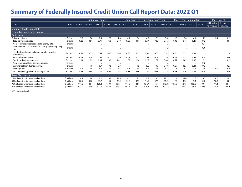|                                                                  |              |         |         | End of year quarter |        |        |        |        |         | Same quarter as current, previous years |        |        | Most recent four quarters |        |        | <b>Most Recent</b>      |                     |
|------------------------------------------------------------------|--------------|---------|---------|---------------------|--------|--------|--------|--------|---------|-----------------------------------------|--------|--------|---------------------------|--------|--------|-------------------------|---------------------|
| Date                                                             | <b>Units</b> | 2016.4  | 2017.4  | 2018.4              | 2019.4 | 2020.4 | 2017.1 | 2018.1 | 2019.1  | 2020.1                                  | 2021.1 | 2021.2 | 2021.3                    | 2021.4 | 2022.1 | 4 Quarter<br>$%$ change | 4 Quarter<br>change |
| <b>Summary Credit Union Data</b>                                 |              |         |         |                     |        |        |        |        |         |                                         |        |        |                           |        |        |                         |                     |
| Federally insured credit unions                                  |              |         |         |                     |        |        |        |        |         |                                         |        |        |                           |        |        |                         |                     |
| Delinguency                                                      |              |         |         |                     |        |        |        |        |         |                                         |        |        |                           |        |        |                         |                     |
| Delinguent loans                                                 | \$ Billions  | 7.2     | 7.8     | 7.4                 | 7.8    | 7.0    | 6.1    | 6.4    | 6.0     | 7.1                                     | 5.4    | 5.5    | 5.6                       | 6.1    | 5.5    | 2.4                     | 0.13                |
| Total delinquency rate                                           | Percent      | 0.83    | 0.81    | 0.71                | 0.70   | 0.60   | 0.69   | 0.66   | 0.57    | 0.63                                    | 0.46   | 0.46   | 0.46                      | 0.49   | 0.42   |                         | $-0.04$             |
| Non-commercial real estate delinquency rate                      | Percent      |         |         |                     |        |        |        |        |         |                                         |        |        |                           |        | 0.31   |                         | $\sim$              |
| Non-commercial real estate first mortgage delinquency<br>rate    | Percent      |         |         |                     |        |        |        |        |         |                                         |        |        |                           |        | 0.30   |                         |                     |
| Fixed-rate real estate delinquency rate (includes<br>commercial) | Percent      | 0.54    | 0.52    | 0.44                | 0.43   | 0.43   | 0.38   | 0.35   | 0.31    | 0.35                                    | 0.32   | 0.36   | 0.33                      | 0.31   |        |                         |                     |
| Auto delinguency rate                                            | Percent      | 0.72    | 0.70    | 0.66                | 0.65   | 0.50   | 0.57   | 0.55   | 0.53    | 0.58                                    | 0.35   | 0.31   | 0.35                      | 0.42   | 0.39   |                         | 0.04                |
| Credit card delinquency rate                                     | Percent      | 1.14    | 1.29    | 1.35                | 1.40   | 1.02   | 1.09   | 1.24   | 1.26    | 1.37                                    | 0.89   | 0.77   | 0.85                      | 0.96   | 1.01   |                         | 0.13                |
| Non-commercial loan delinguency rate                             | Percent      | $\cdot$ | $\cdot$ | $\cdot$             | . .    |        |        | . .    | $\cdot$ | . .                                     |        | . .    | $\cdot$                   | . .    | 0.42   |                         | $\sim$              |
| Commercial loan delinquency rate                                 | Percent      | $\cdot$ | 1.6     | 0.7                 | 0.6    | 0.7    |        | 1.5    | 0.6     | 0.7                                     | 0.70   | 0.67   | 0.53                      | 0.44   | 0.43   |                         | $-0.27$             |
| Net charge-offs                                                  | \$ Billions  | 4.6     | 5.4     | 5.8                 | 6.1    | 5.1    | 5.1    | 5.8    | 6.0     | 6.4                                     | 3.7    | 3.3    | 3.1                       | 3.2    | 3.5    | $-4.1$                  | $-0.15$             |
| Net charge offs, percent of average loans                        | Percent      | 0.55    | 0.60    | 0.58                | 0.56   | 0.45   | 0.58   | 0.60   | 0.57    | 0.58                                    | 0.32   | 0.28   | 0.26                      | 0.26   | 0.28   |                         | $-0.04$             |
| <b>Asset Distribution</b>                                        |              |         |         |                     |        |        |        |        |         |                                         |        |        |                           |        |        |                         |                     |
| 25% of credit unions are smaller than                            | \$ Millions  | 8.1     | 8.8     | 9.2                 | 9.7    | 11.5   | 8.6    | 9.1    | 9.5     | 10.1                                    | 12.2   | 12.4   | 12.6                      | 12.8   | 13.2   | 8.6                     | 1.05                |
| 50% of credit unions are smaller than                            | \$ Millions  | 28.9    | 31.0    | 33.2                | 35.2   | 43.4   | 30.0   | 32.3   | 34.6    | 37.1                                    | 46.2   | 47.0   | 48.0                      | 49.4   | 51.2   | 10.8                    | 5.01                |
| 75% of credit unions are smaller than                            | \$ Millions  | 111.0   | 120.4   | 129.2               | 139.1  | 167.1  | 114.9  | 124.7  | 134.7   | 145.4                                   | 179.0  | 182.9  | 187.3                     | 192.5  | 199.4  | 11.4                    | 20.44               |
| 90% of credit unions are smaller than                            | \$ Millions  | 431.0   | 471.9   | 507.7               | 564.4  | 688.4  | 451.3  | 489.   | 525.3   | 593.5                                   | 720.1  | 737.2  | 765.3                     | 799.   | 822.9  | 14.3                    | 102.79              |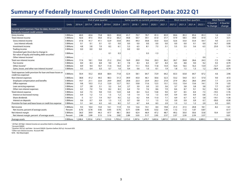|                                                                                     |              |         |         | End of year quarter |         |         |         |         |         | Same quarter as current, previous years |        |         | Most recent four quarters |         |         | <b>Most Recent</b>       |                          |
|-------------------------------------------------------------------------------------|--------------|---------|---------|---------------------|---------|---------|---------|---------|---------|-----------------------------------------|--------|---------|---------------------------|---------|---------|--------------------------|--------------------------|
| Date                                                                                | <b>Units</b> | 2016.4  | 2017.4  | 2018.4              | 2019.4  | 2020.4  | 2017.1  | 2018.1  | 2019.1  | 2020.1                                  | 2021.1 | 2021.2  | 2021.3                    | 2021.4  | 2022.1  | 4 Quarter<br>$%$ change  | 4 Ouarter<br>change      |
| Income and Expenses (Year-to-date, Annual Rate)<br>Federally insured credit unions  |              |         |         |                     |         |         |         |         |         |                                         |        |         |                           |         |         |                          |                          |
| Gross income                                                                        | \$ Billions  | 60.0    | 65.6    | 73.8                | 82.5    | 83.8    | 61.7    | 70.7    | 78.7    | 81.3                                    | 83.9   | 84.6    | 85.3                      | 85.6    | 85.3    | 1.6                      | 1.35                     |
| Total interest income                                                               | \$ Billions  | 42.6    | 47.5    | 54.0                | 61.2    | 60.2    | 44.8    | 50.7    | 59.1    | 61.0                                    | 57.7   | 57.9    | 58.5                      | 59.0    | 61.0    | 5.7                      | 3.31                     |
| Gross interest income                                                               | \$ Billions  | 37.8    | 41.7    | 47.1                | 52.9    | 53.8    | 39.5    | 44.3    | 50.8    | 55.0                                    | 52.6   | 52.6    | 53.0                      | 53.4    | 54.7    | 4.0                      | 2.13                     |
| Less interest refunds                                                               | \$ Billions  | 0.1     | 0.1     | 0.1                 | 0.1     | 0.0     | 0.0     | 0.0     | 0.0     | 0.0                                     | 0.0    | 0.0     | 0.0                       | 0.1     | 0.0     | 16.7                     | 0.00                     |
| Investment income                                                                   | \$ Billions  | 4.8     | 5.8     | 7.0                 | 8.2     | 6.1     | 5.3     | 6.5     | 8.1     | 7.3                                     | 5.1    | 5.3     | 5.5                       | 5.6     | 6.3     | 23.0                     | 1.18                     |
| Trading income                                                                      | \$ Billions  | 0.0     | 0.0     | 0.0                 |         |         | 0.0     | 0.0     |         |                                         |        |         |                           |         |         | $\overline{\phantom{a}}$ | $\overline{\phantom{a}}$ |
| Unrealized gain (loss) due to change in                                             | \$ Billions  |         |         |                     | 0.1     | 0.3     |         |         | 0.3     | $-1.3$                                  |        |         |                           |         |         |                          |                          |
| fair value of equity and trading debt securities <sup>1</sup>                       | \$ Billions  |         |         |                     |         |         |         |         |         |                                         |        |         |                           |         |         |                          |                          |
| Other interest income <sup>2</sup>                                                  |              |         |         |                     |         |         |         |         |         |                                         |        |         |                           |         | 0.0     | -                        | $\hspace{0.05cm}$        |
| Total non-interest income                                                           | \$ Billions  | 17.4    | 18.1    | 19.8                | 21.2    | 23.6    | 16.9    | 20.0    | 19.6    | 20.3                                    | 26.2   | 26.7    | 26.8                      | 26.6    | 24.3    | $-7.5$                   | $-1.96$                  |
| Fee income                                                                          | \$ Billions  | 8.0     | 8.3     | 8.8                 | 9.0     | 8.1     | 7.8     | 8.3     | 8.3     | 8.7                                     | 8.4    | 8.5     | 8.8                       | 9.0     | 9.2     | 9.3                      | 0.79                     |
| Other income <sup>3</sup>                                                           | \$ Billions  | 8.9     | 9.4     | 10.7                | 11.4    | 14.4    | 8.7     | 11.1    | 10.3    | 11.8                                    | 15.9   | 16.4    | 16.5                      | 16.3    | 13.9    | $-12.7$                  | $-2.01$                  |
| Gains, losses, and other non-interest income <sup>4</sup>                           | \$ Billions  | 0.5     | 0.4     | 0.3                 | 0.7     | 1.0     | 0.4     | 0.6     | 1.0     | $-0.1$                                  | 1.9    | 1.8     | 1.5                       | 1.3     | 1.2     | $-38.4$                  | $-0.74$                  |
| Total expenses (with provision for loan and lease losses or<br>credit loss expense) | \$ Billions  | 50.4    | 55.2    | 60.8                | 68.4    | 71.8    | 52.4    | 58.1    | 64.7    | 72.9                                    | 64.2   | 63.3    | 63.8                      | 64.7    | 67.2    | 4.6                      | 2.96                     |
| Non-interest expenses                                                               | \$ Billions  | 38.8    | 41.2    | 44.5                | 48.3    | 51.3    | 39.9    | 43.0    | 46.1    | 50.6                                    | 52.3   | 53.2    | 54.0                      | 55.1    | 57.0    | 9.0                      | 4.72                     |
| Employee compensation and benefits                                                  | \$ Billions  | 19.7    | 21.1    | 22.6                | 24.9    | 26.8    | 20.8    | 22.3    | 23.9    | 26.3                                    | 27.8   | 27.9    | 28.2                      | 28.6    | 29.9    | 7.7                      | 2.14                     |
| Office expenses                                                                     | \$ Billions  | 9.8     | 10.3    | 11.2                | 12.0    | 12.7    | 10.1    | 10.8    | 11.6    | 12.5                                    | 13.1   | 13.2    | 13.4                      | 13.6    | 14.1    | 7.9                      | 1.03                     |
| Loan servicing expenses                                                             | \$ Billions  | 2.7     | 2.8     | 3.1                 | 3.2     | 3.4     | 2.7     | 3.0     | 3.0     | 3.3                                     | 3.6    | 3.7     | 3.8                       | 3.8     | 3.8     | 7.7                      | 0.27                     |
| Other non-interest expenses                                                         | \$ Billions  | 6.5     | 7.0     | 7.6                 | 8.2     | 8.3     | 6.4     | 7.0     | 7.6     | 8.6                                     | 7.9    | 8.4     | 8.7                       | 9.1     | 9.2     | 16.2                     | 1.28                     |
| Total interest expense                                                              | \$ Billions  | 6.6     | 7.5     | 9.8                 | 13.5    | 12.0    | 6.8     | 8.4     | 12.2    | 13.8                                    | 9.0    | 8.7     | 8.5                       | 8.4     | 7.3     | $-19.5$                  | $-1.76$                  |
| Interest on borrowed money                                                          | \$ Billions  | 0.9     | 1.2     | 1.5                 | 1.5     | 1.2     | 1.0     | 1.4     | 1.6     | 1.3                                     | 0.9    | 0.9     | 0.9                       | 0.9     | 0.8     | $-11.2$                  | $-0.10$                  |
| Share dividends                                                                     | \$ Billions  | 5       | 5.7     | 7.4                 | 10.7    | 9.5     | 5.2     | 6.2     | 9.4     | 11.0                                    | 7.1    | 6.9     | 6.7                       | 6.7     | 5.8     | $-19.1$                  | $-1.36$                  |
| Interest on deposits                                                                | \$ Billions  | 0.6     | 0.7     | 0.9                 | 1.3     | 1.3     | 0.7     | 0.8     | 1.1     | 1.5                                     | 1.0    | 0.9     | 0.9                       | 0.9     | 0.7     | $-30.0$                  | $-0.30$                  |
| Provision for loan and lease losses or credit loss expense                          | \$ Billions  | 5.1     | 6.4     | 6.5                 | 6.5     | 8.5     | 5.7     | 6.7     | 6.4     | 8.5                                     | 2.9    | 1.3     | 1.2                       | 1.2     | 2.9     | 0.2                      | 0.01                     |
| Net income                                                                          | \$ Billions  | 9.5     | 10.4    | 13.0                | 14.1    | 11.9    | 9.3     | 12.6    | 14.1    | 8.4                                     | 19.8   | 21.3    | 21.5                      | 20.8    | 18.1    | $-8.2$                   | $-1.61$                  |
| Net income, percent of average assets                                               | Percent      | 0.76    | 0.78    | 0.92                | 0.93    | 0.70    | 0.71    | 0.90    | 0.95    | 0.52                                    | 1.04   | 1.12    | 1.12                      | 1.07    | 0.87    |                          | $-0.17$                  |
| Net interest margin                                                                 | \$ Billions  | 36.0    | 39.9    | 44.3                | 47.7    | 48.1    | 38.0    | 42.4    | 46.9    | 47.2                                    | 48.7   | 49.2    | 50.0                      | 50.6    | 53.8    | 10.4                     | 5.07                     |
| Net interest margin, percent of average assets                                      | Percent      | 2.88    | 2.99    | 3.13                | 3.16    | 2.82    | 2.89    | 3.03    | 3.17    | 2.95                                    | 2.57   | 2.57    | 2.59                      | 2.59    | 2.57    |                          | 0.01                     |
| Average assets                                                                      | \$ Billions  | 1,248.4 | 1,335.6 | 1,416.1             | 1,510.0 | 1,705.6 | 1,315.0 | 1,397.6 | 1,479.7 | 1,602.6                                 | ,897.0 | 1,910.9 | 1,931.3                   | 1,952.4 | 2,089.3 | 10.1                     | 192.34                   |

1 2019q1-2019q4: Interest income on securities held in a trading account 2 Account IS0005

3 Quarters 2021q1 and later: Account IS0020. Quarters before 2021q1: Account 659.

4 Other non-interest income: Account 440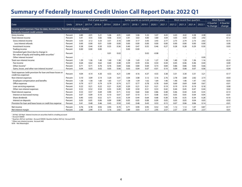|                                                                                                          |              |        |        | End of year quarter |        |        |        |        | Same quarter as current, previous years |         |        |        | Most recent four quarters |        |        |                       | <b>Most Recent</b>  |
|----------------------------------------------------------------------------------------------------------|--------------|--------|--------|---------------------|--------|--------|--------|--------|-----------------------------------------|---------|--------|--------|---------------------------|--------|--------|-----------------------|---------------------|
| Date                                                                                                     | <b>Units</b> | 2016.4 | 2017.4 | 2018.4              | 2019.4 | 2020.4 | 2017.1 | 2018.1 | 2019.1                                  | 2020.1  | 2021.1 | 2021.2 | 2021.3                    | 2021.4 | 2022.1 | 4 Quarter<br>% change | 4 Ouarter<br>change |
| Income and Expenses (Year-to-date, Annual Rate, Percent of Average Assets)                               |              |        |        |                     |        |        |        |        |                                         |         |        |        |                           |        |        |                       |                     |
| Federally insured credit unions                                                                          |              |        |        |                     |        |        |        |        |                                         |         |        |        |                           |        |        |                       |                     |
| Gross income                                                                                             | Percent      | 4.80   | 4.91   | 5.21                | 5.46   | 4.91   | 4.69   | 5.06   | 5.32                                    | 5.07    | 4.43   | 4.43   | 4.42                      | 4.38   | 4.08   |                       | $-0.34$             |
| Total interest income                                                                                    | Percent      | 3.41   | 3.55   | 3.82                | 4.06   | 3.53   | 3.41   | 3.63   | 4.00                                    | 3.80    | 3.04   | 3.03   | 3.03                      | 3.02   | 2.92   |                       | $-0.12$             |
| Gross interest income                                                                                    | Percent      | 3.03   | 3.12   | 3.33                | 3.51   | 3.16   | 3.00   | 3.17   | 3.43                                    | 3.43    | 2.77   | 2.75   | 2.74                      | 2.73   | 2.62   |                       | $-0.15$             |
| Less interest refunds                                                                                    | Percent      | 0.00   | 0.00   | 0.01                | 0.00   | 0.00   | 0.00   | 0.00   | 0.00                                    | 0.00    | 0.00   | 0.00   | 0.00                      | 0.00   | 0.00   |                       | 0.00                |
| Investment income                                                                                        | Percent      | 0.38   | 0.44   | 0.50                | 0.55   | 0.36   | 0.40   | 0.47   | 0.55                                    | 0.46    | 0.27   | 0.28   | 0.28                      | 0.29   | 0.30   |                       | 0.03                |
| Trading income                                                                                           | Percent      | 0.00   | 0.00   | 0.00                |        |        | 0.00   | 0.00   |                                         |         |        |        |                           |        |        |                       | $\sim$              |
| Unrealized gain (loss) due to change in<br>fair value of equity and trading debt securities <sup>1</sup> | Percent      |        |        |                     | 0.01   | 0.02   |        |        | 0.02                                    | $-0.08$ |        |        |                           |        |        |                       |                     |
| Other interest income <sup>2</sup>                                                                       | Percent      |        |        |                     |        |        |        |        |                                         |         |        |        |                           |        | 0.00   |                       |                     |
| Total non-interest income                                                                                | Percent      | 1.39   | 1.36   | 1.40                | 1.40   | 1.38   | 1.28   | 1.43   | 1.33                                    | 1.27    | 1.38   | 1.40   | 1.39                      | 1.36   | 1.16   |                       | $-0.22$             |
| Fee income                                                                                               | Percent      | 0.64   | 0.62   | 0.62                | 0.60   | 0.48   | 0.59   | 0.59   | 0.56                                    | 0.54    | 0.44   | 0.45   | 0.46                      | 0.46   | 0.44   |                       | 0.00                |
| Other income <sup>3</sup>                                                                                | Percent      | 0.71   | 0.71   | 0.76                | 0.76   | 0.84   | 0.66   | 0.80   | 0.69                                    | 0.73    | 0.84   | 0.86   | 0.86                      | 0.83   | 0.66   |                       | $-0.17$             |
| Gains, losses, and other non-interest income <sup>4</sup>                                                | Percent      | 0.04   | 0.03   | 0.02                | 0.05   | 0.06   | 0.03   | 0.04   | 0.07                                    | $-0.01$ | 0.10   | 0.09   | 0.08                      | 0.07   | 0.06   |                       | $-0.04$             |
| Total expenses (with provision for loan and lease losses or<br>credit loss expense)                      | Percent      | 4.04   | 4.14   | 4.30                | 4.53   | 4.21   | 3.99   | 4.16   | 4.37                                    | 4.55    | 3.38   | 3.31   | 3.30                      | 3.31   | 3.21   |                       | $-0.17$             |
| Non-interest expenses                                                                                    | Percent      | 3.10   | 3.09   | 3.14                | 3.20   | 3.01   | 3.04   | 3.08   | 3.12                                    | 3.16    | 2.76   | 2.78   | 2.80                      | 2.82   | 2.73   |                       | $-0.03$             |
| Employee compensation and benefits                                                                       | Percent      | 1.58   | 1.58   | 1.60                | 1.65   | 1.57   | 1.58   | 1.59   | 1.62                                    | 1.64    | 1.46   | 1.46   | 1.46                      | 1.47   | 1.43   |                       | $-0.03$             |
| Office expenses                                                                                          | Percent      | 0.79   | 0.77   | 0.79                | 0.79   | 0.74   | 0.77   | 0.77   | 0.78                                    | 0.78    | 0.69   | 0.69   | 0.69                      | 0.69   | 0.67   |                       | $-0.01$             |
| Loan servicing expenses                                                                                  | Percent      | 0.22   | 0.21   | 0.22                | 0.21   | 0.20   | 0.20   | 0.21   | 0.21                                    | 0.21    | 0.19   | 0.19   | 0.19                      | 0.19   | 0.18   |                       | 0.00                |
| Other non-interest expenses                                                                              | Percent      | 0.52   | 0.52   | 0.54                | 0.55   | 0.49   | 0.49   | 0.50   | 0.51                                    | 0.53    | 0.42   | 0.44   | 0.45                      | 0.47   | 0.44   |                       | 0.02                |
| Total interest expense                                                                                   | Percent      | 0.53   | 0.57   | 0.69                | 0.90   | 0.71   | 0.52   | 0.60   | 0.82                                    | 0.86    | 0.48   | 0.46   | 0.44                      | 0.43   | 0.35   |                       | $-0.13$             |
| Interest on borrowed money                                                                               | Percent      | 0.07   | 0.09   | 0.10                | 0.10   | 0.07   | 0.07   | 0.10   | 0.11                                    | 0.08    | 0.05   | 0.05   | 0.05                      | 0.04   | 0.04   |                       | $-0.02$             |
| Share dividends                                                                                          | Percent      | 0.40   | 0.43   | 0.52                | 0.71   | 0.55   | 0.39   | 0.44   | 0.64                                    | 0.68    | 0.38   | 0.36   | 0.35                      | 0.34   | 0.28   |                       | $-0.10$             |
| Interest on deposits                                                                                     | Percent      | 0.05   | 0.05   | 0.06                | 0.09   | 0.08   | 0.05   | 0.05   | 0.08                                    | 0.09    | 0.05   | 0.05   | 0.05                      | 0.04   | 0.03   |                       | $-0.02$             |
| Provision for loan and lease losses or credit loss expense                                               | Percent      | 0.41   | 0.48   | 0.46                | 0.43   | 0.50   | 0.43   | 0.48   | 0.43                                    | 0.53    | 0.15   | 0.07   | 0.06                      | 0.06   | 0.14   |                       | $-0.01$             |
| Net income                                                                                               | Percent      | 0.76   | 0.78   | 0.92                | 0.93   | 0.70   | 0.71   | 0.90   | 0.95                                    | 0.52    | 1.04   | 1.12   | 1.12                      | 1.07   | 0.87   |                       | $-0.17$             |
| Net interest margin                                                                                      | Percent      | 2.88   | 2.99   | 3.13                | 3.16   | 2.82   | 2.89   | 3.03   | 3.17                                    | 2.95    | 2.57   | 2.57   | 2.59                      | 2.59   | 2.57   |                       | 0.01                |

1 2019q1-2019q4: Interest income on securities held in a trading account 2 Account IS0005

<sup>3</sup> Quarters 2021q1 and later: Account IS0020. Quarters before 2021q1: Account 659.

4 Other non-interest income: Account 440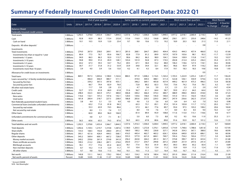|                                                    |              |                      |         | End of year quarter |         |         |                      | Same quarter as current, previous years |         |         |         |         | Most recent four quarters |         |         | <b>Most Recent</b>      |                     |
|----------------------------------------------------|--------------|----------------------|---------|---------------------|---------|---------|----------------------|-----------------------------------------|---------|---------|---------|---------|---------------------------|---------|---------|-------------------------|---------------------|
| Date                                               | <b>Units</b> | 2016.4               | 2017.4  | 2018.4              | 2019.4  | 2020.4  | 2017.1               | 2018.1                                  | 2019.1  | 2020.1  | 2021.1  | 2021.2  | 2021.3                    | 2021.4  | 2022.1  | 4 Quarter<br>$%$ change | 4 Quarter<br>change |
| <b>Balance Sheet</b>                               |              |                      |         |                     |         |         |                      |                                         |         |         |         |         |                           |         |         |                         |                     |
| Federally insured credit unions                    |              |                      |         |                     |         |         |                      |                                         |         |         |         |         |                           |         |         |                         |                     |
| Total assets                                       | \$ Billions  | 1,292.5              | 1,378.8 | 1,453.4             | 1,566.7 | 1,844.5 | 1,337.6              | 1,416.3                                 | 1,506.0 | 1,638.4 | 1,949.5 | 1,977.2 | 2,018.1                   | 2,060.4 | 2,118.3 | 8.7                     | 168.84              |
| Cash                                               | \$ Billions  | 92.8                 | 93.9    | 88.3                | 115.4   | 232.8   | 115.6                | 116.0                                   | 125.2   | 156.8   | 289.8   | 258.1   | 257.1                     | 255.0   | 248.6   | $-14.2$                 | $-41.22$            |
| Cash on hand                                       | \$ Billions  | 10.1                 | 10.5    | 10.9                | 12.0    | 23.4    | 9.7                  | 9.8                                     | 10.6    | 17.3    | 19.2    | 18.9    | 20.3                      | 18.5    | 21.3    | 11.0                    | 2.11                |
| Deposits: All other deposits <sup>1</sup>          | \$ Billions  |                      |         |                     |         |         |                      |                                         |         |         |         |         |                           |         | 0.8     | $\sim$                  | $\sim$              |
| Investments                                        |              |                      |         |                     |         |         |                      |                                         |         |         |         |         |                           |         |         |                         |                     |
| Total investments                                  | \$ Billions  | 274.0                | 267.0   | 258.0               | 269.1   | 361.5   | 281.0                | 268.1                                   | 264.7   | 284.5   | 404.4   | 434.3   | 444.3                     | 457.4   | 466.0   | 15.2                    | 61.66               |
| Investments less than or equal to 1 year           | \$ Billions  | 80.4                 | 77.5    | 76.7                | 85.6    | 106.7   | 82.8                 | 77.9                                    | 81.2    | 89.9    | 107.9   | 107.9   | 103.6                     | 98.1    | 95.3    | $-11.7$                 | $-12.59$            |
| Investments 1-3 years                              | \$ Billions  | 94.9                 | 86.5    | 86.3                | 92.0    | 113.7   | 90.6                 | 84.2                                    | 86.3    | 98.9    | 104.1   | 104.4   | 109.9                     | 115.8   | 114.7   | 10.2                    | 10.57               |
| Investments 3-10 years                             | \$ Billions  | 94.8                 | 99.0    | 91.0                | 85.9    | 128.1   | 103.4                | 101.9                                   | 92.8    | 87.3    | 174.5   | 202.8   | 212.4                     | 225.2   | 236.3   | 35.4                    | 61.75               |
| Investments 3-5 years                              | \$ Billions  | 64.2                 | 67.3    | 59.3                | 54.7    | 74.2    | 69.5                 | 67.1                                    | 58.4    | 55.2    | 88.0    | 106.3   | 118.6                     | 127.3   | 118.1   | 34.2                    | 30.06               |
| Investments 5-10 years                             | \$ Billions  | 30.7                 | 31.7    | 31.8                | 31.2    | 53.9    | 33.9                 | 34.8                                    | 34.4    | 32.1    | 86.5    | 96.6    | 93.9                      | 97.9    | 118.2   | 36.6                    | 31.69               |
| Investments more than 10 years                     | \$ Billions  | 3.9                  | 4.0     | 3.9                 | 5.6     | 13.0    | 4.2                  | 4.1                                     | 4.3     | 8.4     | 17.9    | 19.1    | 18.3                      | 18.3    | 19.8    | 10.8                    | 1.93                |
| Allowance for credit losses on investments         | \$ Billions  | $\blacksquare$       |         |                     |         |         |                      |                                         |         |         |         |         |                           |         | 0.0     | $\sim$                  | $\sim$              |
| <b>Total loans</b>                                 | \$ Billions  | 869.1                | 957.3   | 1,043.6             | 1,108.0 | 1,162.6 | 884.5                | 971.9                                   | 1,048.2 | 1,116.5 | 1,165.4 | 1,193.3 | 1,222.9                   | 1,255.2 | 1,301.7 | 11.7                    | 136.24              |
| Loans secured by 1-4 family residential properties | \$ Billions  |                      | 406.0   | 446.9               | 480.7   | 511.1   |                      | 419.0                                   | 449.3   | 488.1   | 511.4   | 522.8   | 536.1                     | 550.9   | 574.6   | 12.3                    | 63.16               |
| Secured by first lien                              | \$ Billions  |                      | 339.2   | 367.5               | 397.8   | 435.1   |                      | 346.2                                   | 369.1   | 405.8   | 437.9   | 449.2   | 461.9                     | 475.3   | 496.5   | 13.4                    | 58.58               |
| Secured by junior lien                             | \$ Billions  | $\lambda$            | 66.7    | 79.4                | 82.9    | 76.0    |                      | 72.8                                    | 80.2    | 82.3    | 73.6    | 73.6    | 74.2                      | 75.6    | 78.1    | 6.2                     | 4.57                |
| All other real estate loans                        | \$ Billions  | $\ddot{\phantom{a}}$ | 11.7    | 3.8                 | 2.8     | 2.5     | $\ddot{\phantom{a}}$ | 4.7                                     | 3.6     | 3.0     | 2.3     | 2.3     | 2.3                       | 2.3     | 2.0     | $-14.7$                 | $-0.34$             |
| Credit cards                                       | \$ Billions  | 52.7                 | 57.5    | 61.8                | 66.0    | 61.8    | 51.6                 | 56.7                                    | 61.1    | 64.4    | 58.7    | 59.9    | 61.2                      | 64.2    | 64.4    | 9.8                     | 5.73                |
| Auto loans                                         | \$ Billions  | 298.4                | 332.5   | 365.9               | 375.1   | 380.0   | 306.8                | 340.2                                   | 366.4   | 374.3   | 380.7   | 388.9   | 398.0                     | 404.5   | 418.0   | 9.8                     | 37.23               |
| New autos                                          | \$ Billions  | 116.6                | 132.1   | 147.2               | 147.6   | 142.1   | 120.0                | 134.6                                   | 146.0   | 145.0   | 140.0   | 141.0   | 141.5                     | 142.0   | 145.0   | 3.6                     | 5.00                |
| Used autos                                         | \$ Billions  | 181.8                | 200.4   | 218.7               | 227.5   | 238.0   | 186.8                | 205.6                                   | 220.5   | 229.3   | 240.7   | 247.9   | 256.6                     | 262.5   | 272.9   | 13.4                    | 32.24               |
| Non-federally guaranteed student loans             | \$ Billions  | 3.8                  | 4.4     | 5.1                 | 5.5     | 6.0     | 4.0                  | 4.6                                     | 5.3     | 5.6     | 6.0     | 6.4     | 6.4                       | 6.5     | 7.0     | 16.3                    | 0.98                |
| Commercial loans (excludes unfunded commitments)   | \$ Billions  |                      | 63.2    | 71.0                | 81.8    | 94.3    |                      | 65.3                                    | 73.1    | 85.1    | 97.4    | 101.4   | 105.8                     | 111.7   | 117.2   | 20.2                    | 19.71               |
| Secured by real estate                             | \$ Billions  | $\ddot{\phantom{a}}$ | 55.3    | 63.9                | 74.5    | 86.6    | $\ddot{\phantom{a}}$ | 57.3                                    | 66.1    | 77.6    | 89.7    | 93.4    | 97.5                      | 103.2   | 108.2   | 20.6                    | 18.44               |
| Not secured by real estate                         | \$ Billions  |                      | 8.0     | 7.1                 | 7.4     | 7.7     | $\bullet$            | 8.0                                     | 7.0     | 7.6     | 7.7     | 8.0     | 8.3                       | 8.5     | 9.0     | 16.5                    | 1.27                |
| Other loans                                        | \$ Billions  |                      | 82.0    | 89.0                | 96.0    | 106.9   |                      | 81.4                                    | 89.4    | 95.9    | 108.8   | 111.6   | 113.0                     | 115.1   | 118.6   | 9.0                     | 9.77                |
| Unfunded commitments for commercial loans          | \$ Billions  |                      | 4.8     | 5.7                 | 7.1     | 8.1     |                      | 5.0                                     | 6.0     | 7.3     | 8.8     | 9.2     | 9.5                       | 10.6    | 11.9    | 35.3                    | 3.11                |
| Other assets                                       | \$ Billions  | 56.5                 | 60.6    | 63.5                | 74.3    | 87.6    | 56.5                 | 60.3                                    | 67.8    | 80.6    | 89.8    | 91.6    | 93.9                      | 92.7    | 101.2   | 12.6                    | 11.33               |
| Total liabilities and net worth                    | \$ Billions  | 1,292.5              | 1,378.8 | 1,453.4             | 1,566.7 | 1,844.5 | 1,337.6              | 1,416.3                                 | 1,506.0 | 1,638.4 | 1,949.5 | 1,977.2 | 2,018.1                   | 2,060.4 | 2,118.3 | 8.7                     | 168.84              |
| Total deposits                                     | \$ Billions  | 1,092.6              | 1,159.5 | 1,219.7             | 1,319.8 | 1,587.6 | 1,138.0              | 1,203.5                                 | 1,272.8 | 1,376.1 | 1,693.8 | 1,714.9 | 1,748.6                   | 1,788.6 | 1,851.8 | 9.3                     | 157.95              |
| Share drafts                                       | \$ Billions  | 154.3                | 168.5   | 192.8               | 208.0   | 291.5   | 166.0                | 180.2                                   | 189.2   | 226.8   | 327.1   | 342.8   | 354.3                     | 367.1   | 388.0   | 18.6                    | 60.90               |
| Regular shares                                     | \$ Billions  | 393.1                | 421.6   | 426.9               | 444.5   | 568.1   | 416.5                | 445.4                                   | 462.7   | 465.2   | 626.1   | 626.6   | 640.0                     | 655.9   | 686.1   | 9.6                     | 60.06               |
| Other deposits                                     | \$ Billions  | 545.2                | 569.4   | 600.1               | 667.2   | 728.0   | 555.5                | 577.9                                   | 621.0   | 684.1   | 740.7   | 745.4   | 754.2                     | 765.6   | 777.7   | 5.0                     | 36.99               |
| Money market accounts                              | \$ Billions  | 249.2                | 259.6   | 261.9               | 274.8   | 341.9   | 256.2                | 263.8                                   | 264.2   | 281.3   | 361.7   | 374.8   | 390.7                     | 407.3   | 423.4   | 17.1                    | 61.68               |
| Share certificate accounts                         | \$ Billions  | 199.5                | 212.2   | 238.2               | 287.1   | 276.0   | 202.0                | 215.7                                   | 254.7   | 294.8   | 267.2   | 258.9   | 251.9                     | 247.6   | 241.4   | $-9.7$                  | $-25.80$            |
| IRA/Keogh accounts                                 | \$ Billions  | 78.1                 | 77.7    | 77.6                | 81.0    | 83.9    | 78.1                 | 77.4                                    | 78.5    | 81.9    | 84.3    | 84.3    | 84.0                      | 83.2    | 83.4    | $-1.1$                  | $-0.89$             |
| Non-member deposits                                | \$ Billions  | 8.7                  | 10.2    | 11.9                | 12.9    | 11.7    | 9.1                  | 10.4                                    | 12.3    | 13.4    | 11.2    | 10.9    | 10.9                      | 11.3    | 12.4    | 11.6                    | 1.29                |
| All other shares                                   | \$ Billions  | 9.7                  | 9.8     | 10.6                | 11.5    | 14.6    | 10.1                 | 10.5                                    | 11.3    | 12.7    | 16.4    | 16.5    | 16.7                      | 16.2    | 17.1    | 4.3                     | 0.71                |
| Net worth                                          | \$ Billions  | 140.8                | 151.1   | 164.2               | 178.2   | 190.4   | 143.1                | 154.2                                   | 167.8   | 180.4   | 195.3   | 201.0   | 206.6                     | 211.6   | 216.4   | 10.8                    | 21.09               |
| Net worth, percent of assets                       | Percent      | 10.89                | 10.95   | 11.30               | 11.37   | 10.32   | 10.69                | 10.88                                   | 11.13   | 11.01   | 10.02   | 10.16   | 10.23                     | 10.26   | 10.22   |                         | 0.20                |

1 Account AS0008 N/M - Not Meaningful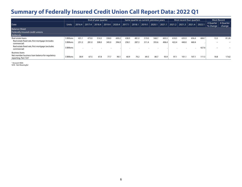|                                                                                     |              |        |        | End of year quarter |        |        |        |        |        | Same quarter as current, previous years |        |        | Most recent four quarters |        |        |                                   | <b>Most Recent</b>  |
|-------------------------------------------------------------------------------------|--------------|--------|--------|---------------------|--------|--------|--------|--------|--------|-----------------------------------------|--------|--------|---------------------------|--------|--------|-----------------------------------|---------------------|
| Date                                                                                | <b>Units</b> | 2016.4 | 2017.4 | 2018.4              | 2019.4 | 2020.4 | 2017.1 | 2018.1 | 2019.1 | 2020.1                                  | 2021.1 | 2021.2 | 2021.3                    | 2021.4 | 2022.1 | 4 Quarter<br>% change $\parallel$ | 4 Ouarter<br>change |
| <b>Balance Sheet</b><br>Federally insured credit unions                             |              |        |        |                     |        |        |        |        |        |                                         |        |        |                           |        |        |                                   |                     |
| Addenda                                                                             |              |        |        |                     |        |        |        |        |        |                                         |        |        |                           |        |        |                                   |                     |
| Real estate loans                                                                   | \$ Billions  | 431.1  | 473.0  | 514.5               | 558.0  | 600.2  | 438.9  | 481.0  | 519.0  | 568.7                                   | 603.5  | 618.5  | 635.9                     | 656.4  | 684.7  | 13.5                              | 81.26               |
| Real estate fixed rate, first mortgage (includes<br>commercial)                     | \$ Billions  | 251.2  | 281.0  | 308.0               | 345.0  | 396.9  | 258.   | 287.3  | 311.4  | 355.6                                   | 406.4  | 422.4  | 440.0                     | 460.4  |        | --                                | --                  |
| Real estate fixed rate, first mortgage (excludes<br>commercial)                     | \$ Billions  |        |        |                     |        |        |        |        |        |                                         |        |        |                           |        | 427.6  | --                                | $\sim$              |
| <b>Business loans</b>                                                               |              |        |        |                     |        |        |        |        |        |                                         |        |        |                           |        |        |                                   |                     |
| Net member business loan balance for regulatory<br>reporting, Part 723 <sup>2</sup> | \$ Billions  | 58.9   | 67.5   | 67.8                | 77.7   | 90.1   | 60.9   | 70.2   | 69.3   | 80.7                                    | 93.9   | 97.1   | 101.1                     | 107.1  | 111.5  | 18.8                              | 17.62               |

2 Account 400A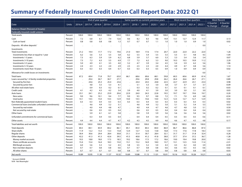|                                                    |              | End of year quarter |        |        |        |        |           |        |        | Same quarter as current, previous years |        |        |         | Most recent four quarters |        | <b>Most Recent</b>                           |
|----------------------------------------------------|--------------|---------------------|--------|--------|--------|--------|-----------|--------|--------|-----------------------------------------|--------|--------|---------|---------------------------|--------|----------------------------------------------|
| Date                                               | <b>Units</b> | 2016.4              | 2017.4 | 2018.4 | 2019.4 | 2020.4 | 2017.1    | 2018.1 | 2019.1 | 2020.1                                  | 2021.1 | 2021.2 | 2021.3  | 2021.4                    | 2022.1 | 4 Quarter<br>4 Quarter<br>% change<br>change |
| <b>Balance Sheet (Percent of Assets)</b>           |              |                     |        |        |        |        |           |        |        |                                         |        |        |         |                           |        |                                              |
| Federally insured credit unions                    |              |                     |        |        |        |        |           |        |        |                                         |        |        |         |                           |        |                                              |
| Total assets                                       | Percent      | 100.0               | 100.0  | 100.0  | 100.0  | 100.0  | 100.0     | 100.0  | 100.0  | 100.0                                   | 100.0  | 100.0  | 100.0   | 100.0                     | 100.0  |                                              |
| Cash                                               | Percent      | 7.2                 | 6.8    | 6.1    | 7.4    | 12.6   | 8.6       | 8.2    | 8.3    | 9.6                                     | 14.9   | 13.1   | 12.7    | 12.4                      | 11.7   | $-3.13$                                      |
| Cash on hand                                       | Percent      | 0.8                 | 0.8    | 0.8    | 0.8    | 1.3    | 0.7       | 0.7    | 0.7    | 1.1                                     | 1.0    | 1.0    | 1.0     | 0.9                       | 1.0    | 0.02                                         |
| Deposits: All other deposits <sup>1</sup>          | Percent      |                     |        |        |        |        |           |        |        |                                         |        |        |         |                           | 0.0    | --                                           |
| Investments                                        |              |                     |        |        |        |        |           |        |        |                                         |        |        |         |                           |        |                                              |
| <b>Total investments</b>                           | Percent      | 21.2                | 19.4   | 17.7   | 17.2   | 19.6   | 21.0      | 18.9   | 17.6   | 17.4                                    | 20.7   | 22.0   | 22.0    | 22.2                      | 22.0   | 1.26                                         |
| Investments less than or equal to 1 year           | Percent      | 6.2                 | 5.6    | 5.3    | 5.5    | 5.8    | 6.2       | 5.5    | 5.4    | 5.5                                     | 5.5    | 5.5    | 5.1     | 4.8                       | 4.5    | $-1.04$                                      |
| Investments 1-3 years                              | Percent      | 7.3                 | 6.3    | 5.9    | 5.9    | 6.2    | 6.8       | 5.9    | 5.7    | 6.0                                     | 5.3    | 5.3    | 5.4     | 5.6                       | 5.4    | 0.07                                         |
| Investments 3-10 years                             | Percent      | 7.3                 | 7.2    | 6.3    | 5.5    | 6.9    | 7.7       | 7.2    | 6.2    | 5.3                                     | 9.0    | 10.3   | 10.5    | 10.9                      | 11.2   | 2.20                                         |
| Investments 3-5 years                              | Percent      | 5.0                 | 4.9    | 4.1    | 3.5    | 4.0    | 5.2       | 4.7    | 3.9    | 3.4                                     | 4.5    | 5.4    | 5.9     | 6.2                       | 5.6    | 1.06                                         |
| Investments 5-10 years                             | Percent      | 2.4                 | 2.3    | 2.2    | 2.0    | 2.9    | 2.5       | 2.5    | 2.3    | 2.0                                     | 4.4    | 4.9    | 4.7     | 4.8                       | 5.6    | 1.14                                         |
| Investments more than 10 years                     | Percent      | 0.3                 | 0.3    | 0.3    | 0.4    | 0.7    | 0.3       | 0.3    | 0.3    | 0.5                                     | 0.9    | 1.0    | 0.9     | 0.9                       | 0.9    | 0.02                                         |
| Allowance for credit losses on investments         | Percent      |                     |        | ٠.     |        |        |           |        | $\,$ . |                                         |        |        | $\cdot$ | $\cdot$                   | 0.0    |                                              |
| <b>Total loans</b>                                 | Percent      | 67.2                | 69.4   | 71.8   | 70.7   | 63.0   | 66.1      | 68.6   | 69.6   | 68.1                                    | 59.8   | 60.3   | 60.6    | 60.9                      | 61.4   | 1.67                                         |
| Loans secured by 1-4 family residential properties | Percent      |                     | 29.4   | 30.7   | 30.7   | 27.7   |           | 29.6   | 29.8   | 29.8                                    | 26.2   | 26.4   | 26.6    | 26.7                      | 27.1   | 0.89                                         |
| Secured by first lien                              | Percent      |                     | 24.6   | 25.3   | 25.4   | 23.6   |           | 24.4   | 24.5   | 24.8                                    | 22.5   | 22.7   | 22.9    | 23.1                      | 23.4   | 0.98                                         |
| Secured by junior lien                             | Percent      |                     | 4.8    | 5.5    | 5.3    | 4.1    |           | 5.1    | 5.3    | 5.0                                     | 3.8    | 3.7    | 3.7     | 3.7                       | 3.7    | $-0.09$                                      |
| All other real estate loans                        | Percent      |                     | 0.9    | 0.3    | 0.2    | 0.1    |           | 0.3    | 0.2    | 0.2                                     | 0.1    | 0.1    | 0.1     | 0.1                       | 0.1    | $-0.03$                                      |
| Credit cards                                       | Percent      | 4.1                 | 4.2    | 4.3    | 4.2    | 3.4    | 3.9       | 4.0    | 4.1    | 3.9                                     | 3.0    | 3.0    | 3.0     | 3.1                       | 3.0    | 0.03                                         |
| Auto Ioans                                         | Percent      | 23.1                | 24.1   | 25.2   | 23.9   | 20.6   | 22.9      | 24.0   | 24.3   | 22.8                                    | 19.5   | 19.7   | 19.7    | 19.6                      | 19.7   | 0.20                                         |
| New autos                                          | Percent      | 9.0                 | 9.6    | 10.1   | 9.4    | 7.7    | 9.0       | 9.5    | 9.7    | 8.8                                     | 7.2    | 7.1    | 7.0     | 6.9                       | 6.8    | $-0.34$                                      |
| Used autos                                         | Percent      | 14.1                | 14.5   | 15.0   | 14.5   | 12.9   | 14.0      | 14.5   | 14.6   | 14.0                                    | 12.3   | 12.5   | 12.7    | 12.7                      | 12.9   | 0.54                                         |
| Non-federally quaranteed student loans             | Percent      | 0.3                 | 0.3    | 0.4    | 0.3    | 0.3    | 0.3       | 0.3    | 0.4    | 0.3                                     | 0.3    | 0.3    | 0.3     | 0.3                       | 0.3    | 0.02                                         |
| Commercial loans (excludes unfunded commitments)   | Percent      |                     | 4.6    | 4.9    | 5.2    | 5.1    |           | 4.6    | 4.9    | 5.2                                     | 5.0    | 5.1    | 5.2     | 5.4                       | 5.5    | 0.53                                         |
| Secured by real estate                             | Percent      |                     | 4.0    | 4.4    | 4.8    | 4.7    |           | 4.0    | 4.4    | 4.7                                     | 4.6    | 4.7    | 4.8     | 5.0                       | 5.1    | 0.50                                         |
| Not secured by real estate                         | Percent      |                     | 0.6    | 0.5    | 0.5    | 0.4    | $\bullet$ | 0.6    | 0.5    | 0.5                                     | 0.4    | 0.4    | 0.4     | 0.4                       | 0.4    | 0.03                                         |
| Other loans                                        | Percent      |                     | 5.9    | 6.1    | 6.1    | 5.8    |           | 5.8    | 5.9    | 5.9                                     | 5.6    | 5.6    | 5.6     | 5.6                       | 5.6    | 0.02                                         |
| Unfunded commitments for commercial loans          | Percent      |                     | 0.3    | 0.4    | 0.5    | 0.4    |           | 0.4    | 0.4    | 0.4                                     | 0.5    | 0.5    | 0.5     | 0.5                       | 0.6    | 0.11                                         |
| Other assets                                       | Percent      | 4.4                 | 4.4    | 4.4    | 4.7    | 4.7    | 4.2       | 4.3    | 4.5    | 4.9                                     | 4.6    | 4.6    | 4.7     | 4.5                       | 4.8    | 0.17                                         |
| Total liabilities and net worth                    | Percent      | 100.0               | 100.0  | 100.0  | 100.0  | 100.0  | 100.0     | 100.0  | 100.0  | 100.0                                   | 100.0  | 100.0  | 100.0   | 100.0                     | 100.0  |                                              |
| <b>Total deposits</b>                              | Percent      | 84.5                | 84.1   | 83.9   | 84.2   | 86.1   | 85.1      | 85.0   | 84.5   | 84.0                                    | 86.9   | 86.7   | 86.6    | 86.8                      | 87.4   | 0.53                                         |
| Share drafts                                       | Percent      | 11.9                | 12.2   | 13.3   | 13.3   | 15.8   | 12.4      | 12.7   | 12.6   | 13.8                                    | 16.8   | 17.3   | 17.6    | 17.8                      | 18.3   | 1.54                                         |
| Regular shares                                     | Percent      | 30.4                | 30.6   | 29.4   | 28.4   | 30.8   | 31.1      | 31.4   | 30.7   | 28.4                                    | 32.1   | 31.7   | 31.7    | 31.8                      | 32.4   | 0.28                                         |
| Other deposits                                     | Percent      | 42.2                | 41.3   | 41.3   | 42.6   | 39.5   | 41.5      | 40.8   | 41.2   | 41.8                                    | 38.0   | 37.7   | 37.4    | 37.2                      | 36.7   | $-1.28$                                      |
| Money market accounts                              | Percent      | 19.3                | 18.8   | 18.0   | 17.5   | 18.5   | 19.2      | 18.6   | 17.5   | 17.2                                    | 18.6   | 19.0   | 19.4    | 19.8                      | 20.0   | 1.43                                         |
| Share certificate accounts                         | Percent      | 15.4                | 15.4   | 16.4   | 18.3   | 15.0   | 15.1      | 15.2   | 16.9   | 18.0                                    | 13.7   | 13.1   | 12.5    | 12.0                      | 11.4   | $-2.31$                                      |
| IRA/Keogh accounts                                 | Percent      | 6.0                 | 5.6    | 5.3    | 5.2    | 4.5    | 5.8       | 5.5    | 5.2    | 5.0                                     | 4.3    | 4.3    | 4.2     | 4.0                       | 3.9    | $-0.39$                                      |
| Non-member deposits                                | Percent      | 0.7                 | 0.7    | 0.8    | 0.8    | 0.6    | 0.7       | 0.7    | 0.8    | 0.8                                     | 0.6    | 0.6    | 0.5     | 0.5                       | 0.6    | 0.02                                         |
| All other shares                                   | Percent      | 0.7                 | 0.7    | 0.7    | 0.7    | 0.8    | 0.8       | 0.7    | 0.7    | 0.8                                     | 0.8    | 0.8    | 0.8     | 0.8                       | 0.8    | $-0.03$                                      |
| Net worth                                          | Percent      | 10.89               | 10.95  | 11.30  | 11.37  | 10.32  | 10.69     | 10.88  | 11.13  | 11.01                                   | 10.01  | 10.16  | 10.23   | 10.26                     | 10.21  | 0.20                                         |

1 Account AS0008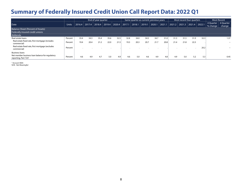|                                                                                     |              |        |        | End of year quarter |        |        |        | Same quarter as current, previous years |        |        |        |        | Most recent four quarters |        |        |           | <b>Most Recent</b> |
|-------------------------------------------------------------------------------------|--------------|--------|--------|---------------------|--------|--------|--------|-----------------------------------------|--------|--------|--------|--------|---------------------------|--------|--------|-----------|--------------------|
|                                                                                     |              |        |        |                     |        |        |        |                                         |        |        |        |        |                           |        |        |           |                    |
| Date                                                                                | <b>Units</b> | 2016.4 | 2017.4 | 2018.4              | 2019.4 | 2020.4 | 2017.1 | 2018.1                                  | 2019.1 | 2020.1 | 2021.1 | 2021.2 | 2021.3                    | 2021.4 | 2022.1 | 4 Quarter | 4 Ouarter          |
|                                                                                     |              |        |        |                     |        |        |        |                                         |        |        |        |        |                           |        |        | % change  | change             |
| <b>Balance Sheet (Percent of Assets)</b>                                            |              |        |        |                     |        |        |        |                                         |        |        |        |        |                           |        |        |           |                    |
| Federally insured credit unions                                                     |              |        |        |                     |        |        |        |                                         |        |        |        |        |                           |        |        |           |                    |
| Addenda                                                                             |              |        |        |                     |        |        |        |                                         |        |        |        |        |                           |        |        |           |                    |
| Real estate loans                                                                   | Percent      | 33.4   | 34.3   | 35.4                | 35.6   | 32.5   | 32.8   | 34.0                                    | 34.5   | 34.7   | 31.0   | 31.3   | 31.5                      | 31.9   | 32.3   |           | 1.37               |
| Real estate fixed rate, first mortgage (includes<br>commercial)                     | Percent      | 19.4   | 20.4   | 21.2                | 22.0   | 21.5   | 19.3   | 20.3                                    | 20.7   | 21.7   | 20.8   | 21.4   | 21.8                      | 22.3   |        |           | --                 |
| Real estate fixed rate, first mortgage (excludes<br>commercial)                     | Percent      |        |        |                     |        |        |        |                                         |        |        |        |        |                           |        | 20.2   |           | --                 |
| <b>Business loans</b>                                                               |              |        |        |                     |        |        |        |                                         |        |        |        |        |                           |        |        |           |                    |
| Net member business loan balance for regulatory<br>reporting, Part 723 <sup>2</sup> | Percent      | 4.6    | 4.9    | 4.7                 | 5.0    | 4.9    | 4.6    | 5.0                                     | 4.6    | 4.9    | 4.8    | 4.9    | 5.0                       | 5.2    | 5.3    |           | 0.45               |

2 Account 400A